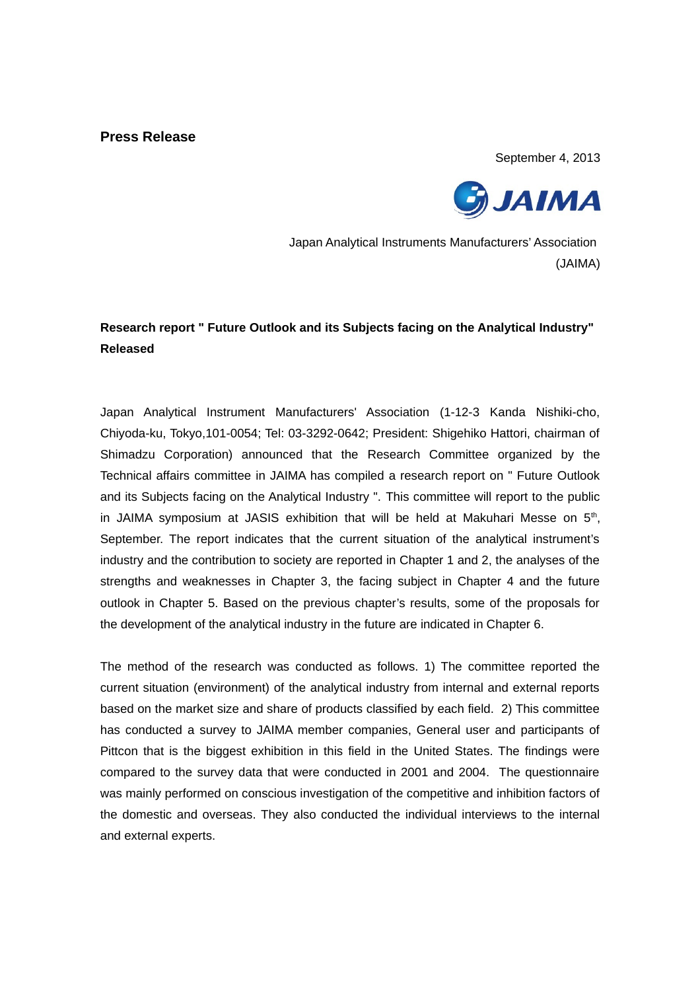## **Press Release**

September 4, 2013



Japan Analytical Instruments Manufacturers' Association (JAIMA)

# **Research report " Future Outlook and its Subjects facing on the Analytical Industry" Released**

Japan Analytical Instrument Manufacturers' Association (1-12-3 Kanda Nishiki-cho, Chiyoda-ku, Tokyo,101-0054; Tel: 03-3292-0642; President: Shigehiko Hattori, chairman of Shimadzu Corporation) announced that the Research Committee organized by the Technical affairs committee in JAIMA has compiled a research report on " Future Outlook and its Subjects facing on the Analytical Industry ". This committee will report to the public in JAIMA symposium at JASIS exhibition that will be held at Makuhari Messe on  $5<sup>th</sup>$ , September. The report indicates that the current situation of the analytical instrument's industry and the contribution to society are reported in Chapter 1 and 2, the analyses of the strengths and weaknesses in Chapter 3, the facing subject in Chapter 4 and the future outlook in Chapter 5. Based on the previous chapter's results, some of the proposals for the development of the analytical industry in the future are indicated in Chapter 6.

The method of the research was conducted as follows. 1) The committee reported the current situation (environment) of the analytical industry from internal and external reports based on the market size and share of products classified by each field. 2) This committee has conducted a survey to JAIMA member companies, General user and participants of Pittcon that is the biggest exhibition in this field in the United States. The findings were compared to the survey data that were conducted in 2001 and 2004. The questionnaire was mainly performed on conscious investigation of the competitive and inhibition factors of the domestic and overseas. They also conducted the individual interviews to the internal and external experts.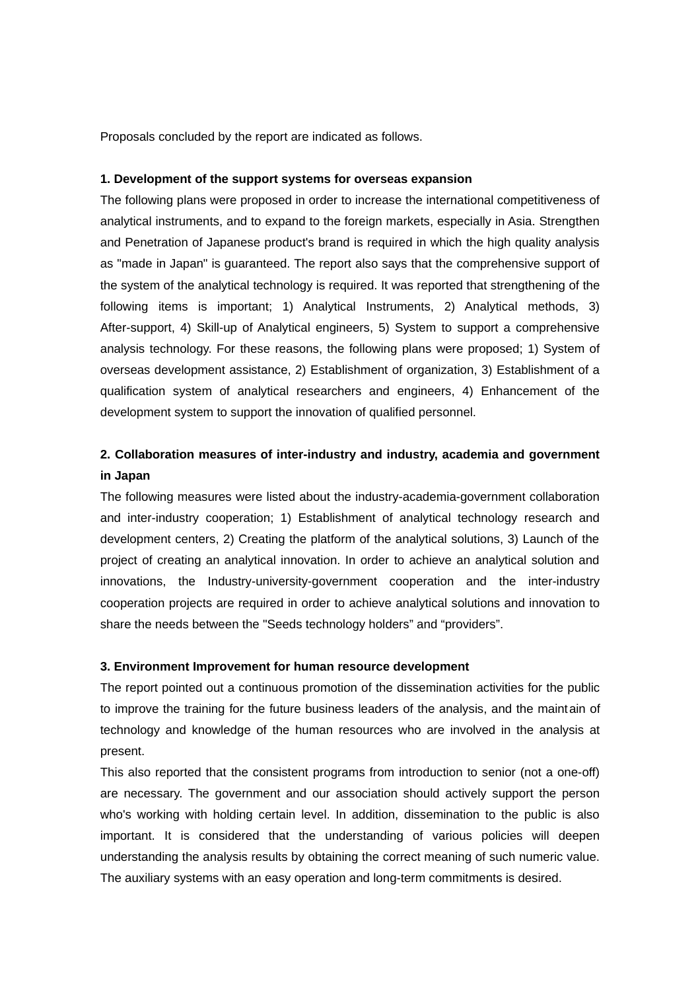Proposals concluded by the report are indicated as follows.

### **1. Development of the support systems for overseas expansion**

The following plans were proposed in order to increase the international competitiveness of analytical instruments, and to expand to the foreign markets, especially in Asia. Strengthen and Penetration of Japanese product's brand is required in which the high quality analysis as "made in Japan" is guaranteed. The report also says that the comprehensive support of the system of the analytical technology is required. It was reported that strengthening of the following items is important; 1) Analytical Instruments, 2) Analytical methods, 3) After-support, 4) Skill-up of Analytical engineers, 5) System to support a comprehensive analysis technology. For these reasons, the following plans were proposed; 1) System of overseas development assistance, 2) Establishment of organization, 3) Establishment of a qualification system of analytical researchers and engineers, 4) Enhancement of the development system to support the innovation of qualified personnel.

# **2. Collaboration measures of inter-industry and industry, academia and government in Japan**

The following measures were listed about the industry-academia-government collaboration and inter-industry cooperation; 1) Establishment of analytical technology research and development centers, 2) Creating the platform of the analytical solutions, 3) Launch of the project of creating an analytical innovation. In order to achieve an analytical solution and innovations, the Industry-university-government cooperation and the inter-industry cooperation projects are required in order to achieve analytical solutions and innovation to share the needs between the "Seeds technology holders" and "providers".

#### **3. Environment Improvement for human resource development**

The report pointed out a continuous promotion of the dissemination activities for the public to improve the training for the future business leaders of the analysis, and the maintain of technology and knowledge of the human resources who are involved in the analysis at present.

This also reported that the consistent programs from introduction to senior (not a one-off) are necessary. The government and our association should actively support the person who's working with holding certain level. In addition, dissemination to the public is also important. It is considered that the understanding of various policies will deepen understanding the analysis results by obtaining the correct meaning of such numeric value. The auxiliary systems with an easy operation and long-term commitments is desired.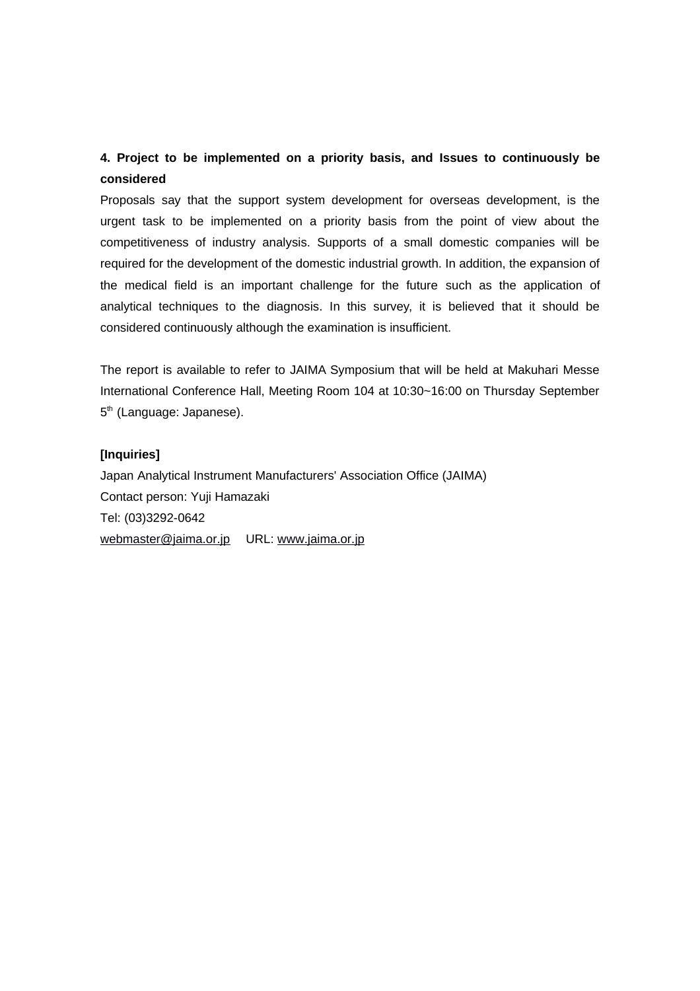# **4. Project to be implemented on a priority basis, and Issues to continuously be considered**

Proposals say that the support system development for overseas development, is the urgent task to be implemented on a priority basis from the point of view about the competitiveness of industry analysis. Supports of a small domestic companies will be required for the development of the domestic industrial growth. In addition, the expansion of the medical field is an important challenge for the future such as the application of analytical techniques to the diagnosis. In this survey, it is believed that it should be considered continuously although the examination is insufficient.

The report is available to refer to JAIMA Symposium that will be held at Makuhari Messe International Conference Hall, Meeting Room 104 at 10:30~16:00 on Thursday September 5<sup>th</sup> (Language: Japanese).

## **[Inquiries]**

Japan Analytical Instrument Manufacturers' Association Office (JAIMA) Contact person: Yuji Hamazaki Tel: (03)3292-0642 [webmaster@jaima.or.jp](mailto:webmaster@jaima.or.jp) URL: [www.jaima.or.jp](http://www.jaima.or.jp/)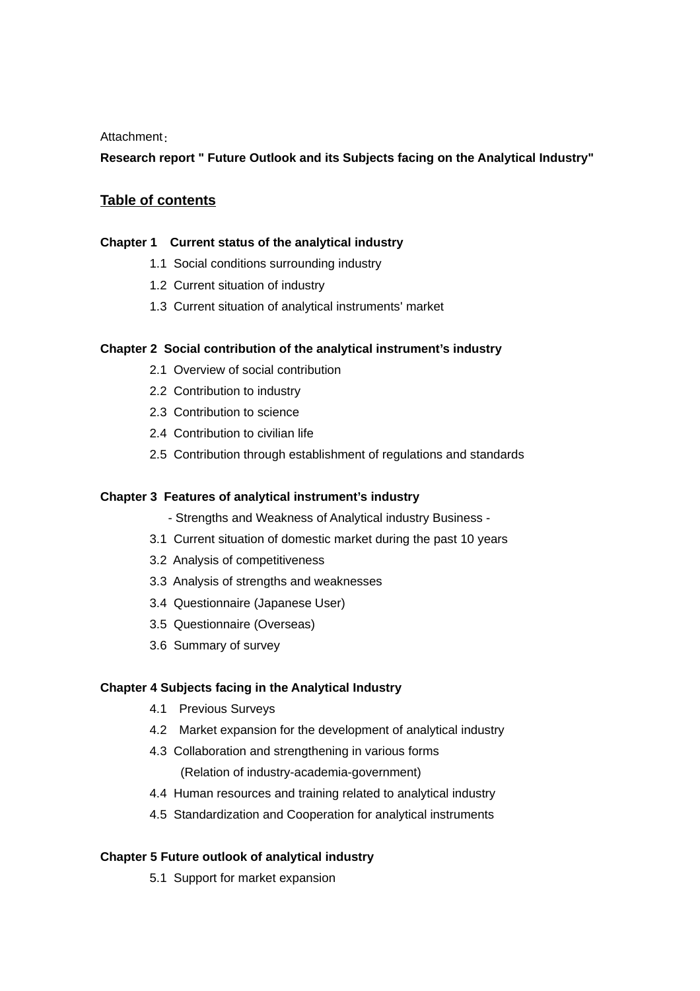### Attachment:

## **Research report " Future Outlook and its Subjects facing on the Analytical Industry"**

# **Table of contents**

#### **Chapter 1 Current status of the analytical industry**

- 1.1 Social conditions surrounding industry
- 1.2 Current situation of industry
- 1.3 Current situation of analytical instruments' market

#### **Chapter 2 Social contribution of the analytical instrument's industry**

- 2.1 Overview of social contribution
- 2.2 Contribution to industry
- 2.3 Contribution to science
- 2.4 Contribution to civilian life
- 2.5 Contribution through establishment of regulations and standards

### **Chapter 3 Features of analytical instrument's industry**

- Strengths and Weakness of Analytical industry Business -
- 3.1 Current situation of domestic market during the past 10 years
- 3.2 Analysis of competitiveness
- 3.3 Analysis of strengths and weaknesses
- 3.4 Questionnaire (Japanese User)
- 3.5 Questionnaire (Overseas)
- 3.6 Summary of survey

## **Chapter 4 Subjects facing in the Analytical Industry**

- 4.1 Previous Surveys
- 4.2 Market expansion for the development of analytical industry
- 4.3 Collaboration and strengthening in various forms (Relation of industry-academia-government)
- 4.4 Human resources and training related to analytical industry
- 4.5 Standardization and Cooperation for analytical instruments

## **Chapter 5 Future outlook of analytical industry**

5.1 Support for market expansion